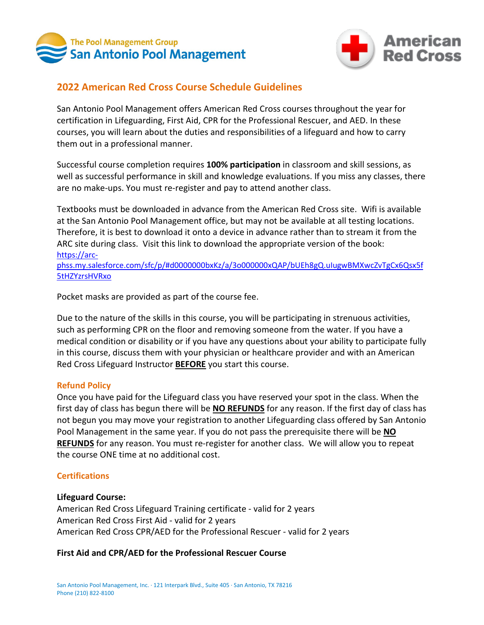



# **2022 American Red Cross Course Schedule Guidelines**

San Antonio Pool Management offers American Red Cross courses throughout the year for certification in Lifeguarding, First Aid, CPR for the Professional Rescuer, and AED. In these courses, you will learn about the duties and responsibilities of a lifeguard and how to carry them out in a professional manner.

Successful course completion requires **100% participation** in classroom and skill sessions, as well as successful performance in skill and knowledge evaluations. If you miss any classes, there are no make-ups. You must re-register and pay to attend another class.

Textbooks must be downloaded in advance from the American Red Cross site. Wifi is available at the San Antonio Pool Management office, but may not be available at all testing locations. Therefore, it is best to download it onto a device in advance rather than to stream it from the ARC site during class. Visit this link to download the appropriate version of the book: [https://arc-](https://arc-phss.my.salesforce.com/sfc/p/#d0000000bxKz/a/3o000000xQAP/bUEh8gQ.uIugwBMXwcZvTgCx6Qsx5f5tHZYzrsHVRxo)

[phss.my.salesforce.com/sfc/p/#d0000000bxKz/a/3o000000xQAP/bUEh8gQ.uIugwBMXwcZvTgCx6Qsx5f](https://arc-phss.my.salesforce.com/sfc/p/#d0000000bxKz/a/3o000000xQAP/bUEh8gQ.uIugwBMXwcZvTgCx6Qsx5f5tHZYzrsHVRxo) [5tHZYzrsHVRxo](https://arc-phss.my.salesforce.com/sfc/p/#d0000000bxKz/a/3o000000xQAP/bUEh8gQ.uIugwBMXwcZvTgCx6Qsx5f5tHZYzrsHVRxo) 

Pocket masks are provided as part of the course fee.

Due to the nature of the skills in this course, you will be participating in strenuous activities, such as performing CPR on the floor and removing someone from the water. If you have a medical condition or disability or if you have any questions about your ability to participate fully in this course, discuss them with your physician or healthcare provider and with an American Red Cross Lifeguard Instructor **BEFORE** you start this course.

# **Refund Policy**

Once you have paid for the Lifeguard class you have reserved your spot in the class. When the first day of class has begun there will be **NO REFUNDS** for any reason. If the first day of class has not begun you may move your registration to another Lifeguarding class offered by San Antonio Pool Management in the same year. If you do not pass the prerequisite there will be **NO REFUNDS** for any reason. You must re-register for another class. We will allow you to repeat the course ONE time at no additional cost.

# **Certifications**

# **Lifeguard Course:**

American Red Cross Lifeguard Training certificate - valid for 2 years American Red Cross First Aid - valid for 2 years American Red Cross CPR/AED for the Professional Rescuer - valid for 2 years

# **First Aid and CPR/AED for the Professional Rescuer Course**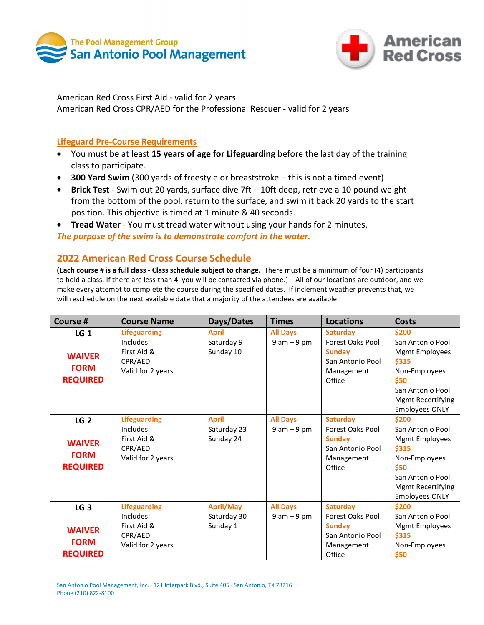



American Red Cross First Aid - valid for 2 years American Red Cross CPR/AED for the Professional Rescuer - valid for 2 years

### **Lifeguard Pre-Course Requirements**

- You must be at least **15 years of age for Lifeguarding** before the last day of the training class to participate.
- **300 Yard Swim** (300 yards of freestyle or breaststroke this is not a timed event)
- **Brick Test** Swim out 20 yards, surface dive 7ft 10ft deep, retrieve a 10 pound weight from the bottom of the pool, return to the surface, and swim it back 20 yards to the start position. This objective is timed at 1 minute & 40 seconds.
- **Tread Water** You must tread water without using your hands for 2 minutes. *The purpose of the swim is to demonstrate comfort in the water.*

# **2022 American Red Cross Course Schedule**

**(Each course # is a full class - Class schedule subject to change.** There must be a minimum of four (4) participants to hold a class. If there are less than 4, you will be contacted via phone.) – All of our locations are outdoor, and we make every attempt to complete the course during the specified dates. If inclement weather prevents that, we will reschedule on the next available date that a majority of the attendees are available.

| Course #        | <b>Course Name</b>  | Days/Dates       | <b>Times</b>    | <b>Locations</b>        | <b>Costs</b>             |
|-----------------|---------------------|------------------|-----------------|-------------------------|--------------------------|
| LG <sub>1</sub> | <b>Lifeguarding</b> | <b>April</b>     | <b>All Days</b> | <b>Saturday</b>         | \$200                    |
|                 | Includes:           | Saturday 9       | $9 am - 9 pm$   | <b>Forest Oaks Pool</b> | San Antonio Pool         |
| <b>WAIVER</b>   | First Aid &         | Sunday 10        |                 | <b>Sunday</b>           | Mgmt Employees           |
|                 | CPR/AED             |                  |                 | San Antonio Pool        | \$315                    |
| <b>FORM</b>     | Valid for 2 years   |                  |                 | Management              | Non-Employees            |
| <b>REQUIRED</b> |                     |                  |                 | Office                  | \$50                     |
|                 |                     |                  |                 |                         | San Antonio Pool         |
|                 |                     |                  |                 |                         | <b>Mgmt Recertifying</b> |
|                 |                     |                  |                 |                         | <b>Employees ONLY</b>    |
| LG <sub>2</sub> | <b>Lifeguarding</b> | <b>April</b>     | <b>All Days</b> | <b>Saturday</b>         | \$200                    |
|                 | Includes:           | Saturday 23      | $9 am - 9 pm$   | <b>Forest Oaks Pool</b> | San Antonio Pool         |
| <b>WAIVER</b>   | First Aid &         | Sunday 24        |                 | <b>Sunday</b>           | <b>Mgmt Employees</b>    |
|                 | CPR/AED             |                  |                 | San Antonio Pool        | \$315                    |
| <b>FORM</b>     | Valid for 2 years   |                  |                 | Management              | Non-Employees            |
| <b>REQUIRED</b> |                     |                  |                 | Office                  | \$50                     |
|                 |                     |                  |                 |                         | San Antonio Pool         |
|                 |                     |                  |                 |                         | Mgmt Recertifying        |
|                 |                     |                  |                 |                         | <b>Employees ONLY</b>    |
| LG <sub>3</sub> | <b>Lifeguarding</b> | <b>April/May</b> | <b>All Days</b> | <b>Saturday</b>         | \$200                    |
|                 | Includes:           | Saturday 30      | $9 am - 9 pm$   | Forest Oaks Pool        | San Antonio Pool         |
| <b>WAIVER</b>   | First Aid &         | Sunday 1         |                 | <b>Sunday</b>           | Mgmt Employees           |
|                 | CPR/AED             |                  |                 | San Antonio Pool        | \$315                    |
| <b>FORM</b>     | Valid for 2 years   |                  |                 | Management              | Non-Employees            |
| <b>REQUIRED</b> |                     |                  |                 | Office                  | \$50                     |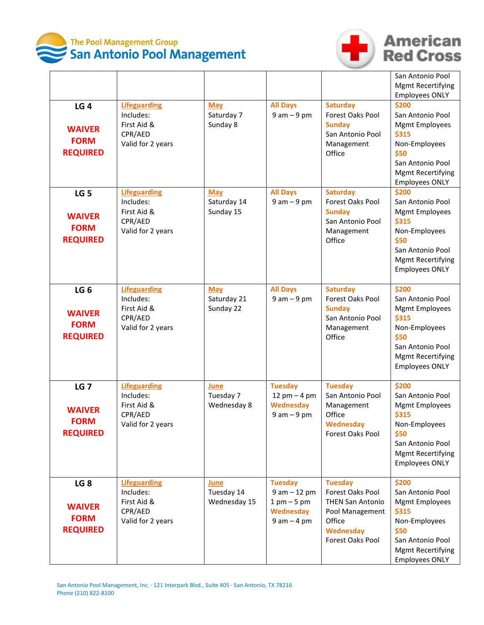



# **American**<br>**Red Cross**

| LG <sub>4</sub><br><b>WAIVER</b><br><b>FORM</b><br><b>REQUIRED</b> | <b>Lifeguarding</b><br>Includes:<br>First Aid &<br>CPR/AED<br>Valid for 2 years | <b>May</b><br>Saturday 7<br>Sunday 8   | <b>All Days</b><br>$9 am - 9 pm$                                                        | <b>Saturday</b><br>Forest Oaks Pool<br><b>Sundav</b><br>San Antonio Pool<br>Management<br>Office                            | San Antonio Pool<br><b>Mgmt Recertifying</b><br><b>Employees ONLY</b><br>\$200<br>San Antonio Pool<br><b>Mgmt Employees</b><br>\$315<br>Non-Employees<br>\$50<br>San Antonio Pool<br><b>Mgmt Recertifying</b><br><b>Employees ONLY</b> |
|--------------------------------------------------------------------|---------------------------------------------------------------------------------|----------------------------------------|-----------------------------------------------------------------------------------------|-----------------------------------------------------------------------------------------------------------------------------|----------------------------------------------------------------------------------------------------------------------------------------------------------------------------------------------------------------------------------------|
| LG <sub>5</sub><br><b>WAIVER</b><br><b>FORM</b><br><b>REQUIRED</b> | <b>Lifeguarding</b><br>Includes:<br>First Aid &<br>CPR/AED<br>Valid for 2 years | <b>May</b><br>Saturday 14<br>Sunday 15 | <b>All Days</b><br>$9 am - 9 pm$                                                        | <b>Saturday</b><br>Forest Oaks Pool<br><b>Sunday</b><br>San Antonio Pool<br>Management<br>Office                            | \$200<br>San Antonio Pool<br><b>Mgmt Employees</b><br>\$315<br>Non-Employees<br>\$50<br>San Antonio Pool<br><b>Mgmt Recertifying</b><br><b>Employees ONLY</b>                                                                          |
| LG <sub>6</sub><br><b>WAIVER</b><br><b>FORM</b><br><b>REQUIRED</b> | <b>Lifeguarding</b><br>Includes:<br>First Aid &<br>CPR/AED<br>Valid for 2 years | <b>May</b><br>Saturday 21<br>Sunday 22 | <b>All Days</b><br>$9 am - 9 pm$                                                        | <b>Saturday</b><br>Forest Oaks Pool<br><b>Sunday</b><br>San Antonio Pool<br>Management<br>Office                            | \$200<br>San Antonio Pool<br><b>Mgmt Employees</b><br>\$315<br>Non-Employees<br>\$50<br>San Antonio Pool<br><b>Mgmt Recertifying</b><br><b>Employees ONLY</b>                                                                          |
| <b>LG 7</b><br><b>WAIVER</b><br><b>FORM</b><br><b>REQUIRED</b>     | <b>Lifeguarding</b><br>Includes:<br>First Aid &<br>CPR/AED<br>Valid for 2 years | June<br>Tuesday 7<br>Wednesday 8       | <b>Tuesday</b><br>12 $pm - 4$ pm<br><b>Wednesday</b><br>$9 am - 9 pm$                   | <b>Tuesday</b><br>San Antonio Pool<br>Management<br>Office<br>Wednesday<br>Forest Oaks Pool                                 | \$200<br>San Antonio Pool<br><b>Mgmt Employees</b><br><b>\$315</b><br>Non-Employees<br>\$50<br>San Antonio Pool<br><b>Mgmt Recertifying</b><br><b>Employees ONLY</b>                                                                   |
| LG <sub>8</sub><br><b>WAIVER</b><br><b>FORM</b><br><b>REQUIRED</b> | <b>Lifeguarding</b><br>Includes:<br>First Aid &<br>CPR/AED<br>Valid for 2 years | June<br>Tuesday 14<br>Wednesday 15     | <b>Tuesday</b><br>$9 am - 12 pm$<br>$1$ pm $-5$ pm<br><b>Wednesday</b><br>$9 am - 4 pm$ | <b>Tuesday</b><br>Forest Oaks Pool<br><b>THEN San Antonio</b><br>Pool Management<br>Office<br>Wednesday<br>Forest Oaks Pool | \$200<br>San Antonio Pool<br><b>Mgmt Employees</b><br>\$315<br>Non-Employees<br>\$50<br>San Antonio Pool<br><b>Mgmt Recertifying</b><br><b>Employees ONLY</b>                                                                          |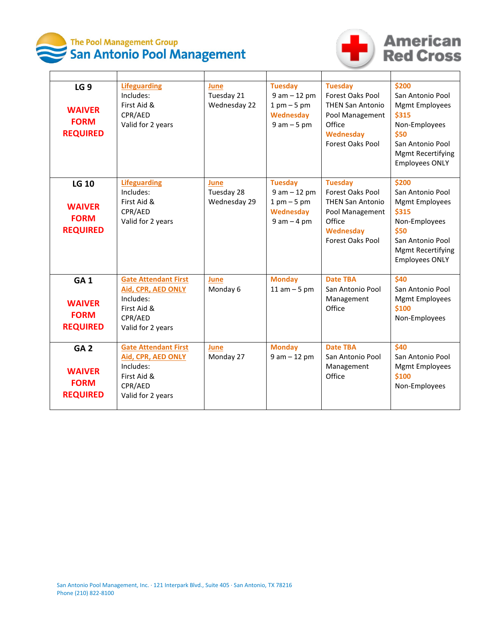



# **American**<br>**Red Cross**

| LG <sub>9</sub><br><b>WAIVER</b><br><b>FORM</b><br><b>REQUIRED</b> | <b>Lifeguarding</b><br>Includes:<br>First Aid &<br>CPR/AED<br>Valid for 2 years                                      | June<br>Tuesday 21<br>Wednesday 22 | <b>Tuesday</b><br>$9 am - 12 pm$<br>$1 \text{ pm} - 5 \text{ pm}$<br>Wednesday<br>$9 am - 5 pm$ | <b>Tuesday</b><br>Forest Oaks Pool<br><b>THEN San Antonio</b><br>Pool Management<br>Office<br>Wednesday<br>Forest Oaks Pool | \$200<br>San Antonio Pool<br><b>Mgmt Employees</b><br><b>\$315</b><br>Non-Employees<br>\$50<br>San Antonio Pool<br><b>Mgmt Recertifying</b><br><b>Employees ONLY</b> |
|--------------------------------------------------------------------|----------------------------------------------------------------------------------------------------------------------|------------------------------------|-------------------------------------------------------------------------------------------------|-----------------------------------------------------------------------------------------------------------------------------|----------------------------------------------------------------------------------------------------------------------------------------------------------------------|
| <b>LG 10</b><br><b>WAIVER</b><br><b>FORM</b><br><b>REQUIRED</b>    | <b>Lifeguarding</b><br>Includes:<br>First Aid &<br>CPR/AED<br>Valid for 2 years                                      | June<br>Tuesday 28<br>Wednesday 29 | <b>Tuesday</b><br>$9 am - 12 pm$<br>$1 \text{ pm} - 5 \text{ pm}$<br>Wednesday<br>$9 am - 4 pm$ | <b>Tuesday</b><br>Forest Oaks Pool<br><b>THEN San Antonio</b><br>Pool Management<br>Office<br>Wednesday<br>Forest Oaks Pool | \$200<br>San Antonio Pool<br><b>Mgmt Employees</b><br>\$315<br>Non-Employees<br>\$50<br>San Antonio Pool<br><b>Mgmt Recertifying</b><br><b>Employees ONLY</b>        |
| GA <sub>1</sub><br><b>WAIVER</b><br><b>FORM</b><br><b>REQUIRED</b> | <b>Gate Attendant First</b><br><b>Aid, CPR, AED ONLY</b><br>Includes:<br>First Aid &<br>CPR/AED<br>Valid for 2 years | June<br>Monday 6                   | <b>Monday</b><br>$11$ am $-5$ pm                                                                | <b>Date TBA</b><br>San Antonio Pool<br>Management<br>Office                                                                 | \$40<br>San Antonio Pool<br><b>Mgmt Employees</b><br>\$100<br>Non-Employees                                                                                          |
| GA <sub>2</sub><br><b>WAIVER</b><br><b>FORM</b><br><b>REQUIRED</b> | <b>Gate Attendant First</b><br>Aid, CPR, AED ONLY<br>Includes:<br>First Aid &<br>CPR/AED<br>Valid for 2 years        | June<br>Monday 27                  | <b>Monday</b><br>$9 am - 12 pm$                                                                 | <b>Date TBA</b><br>San Antonio Pool<br>Management<br>Office                                                                 | \$40<br>San Antonio Pool<br><b>Mgmt Employees</b><br>\$100<br>Non-Employees                                                                                          |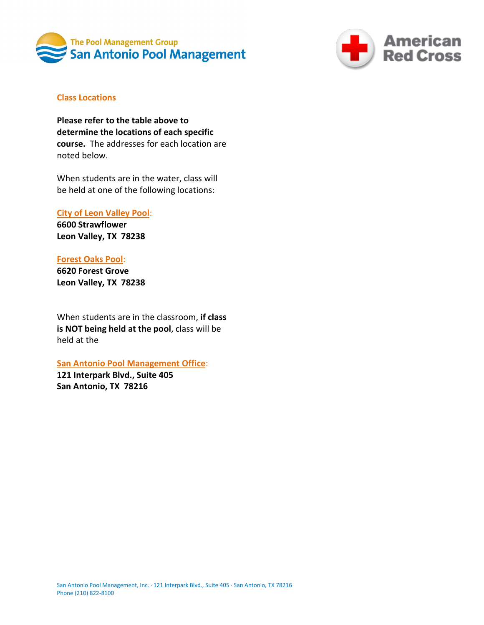



# **Class Locations**

**Please refer to the table above to determine the locations of each specific course.** The addresses for each location are noted below.

When students are in the water, class will be held at one of the following locations:

### **City of Leon Valley Pool**:

**6600 Strawflower Leon Valley, TX 78238**

### **Forest Oaks Pool**:

**6620 Forest Grove Leon Valley, TX 78238**

When students are in the classroom, **if class is NOT being held at the pool**, class will be held at the

### **San Antonio Pool Management Office**:

**121 Interpark Blvd., Suite 405 San Antonio, TX 78216**